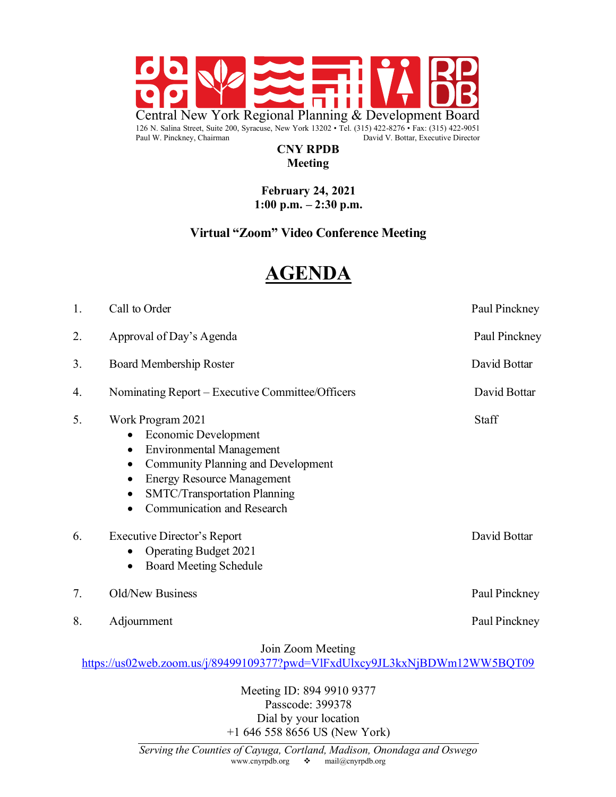

#### **CNY RPDB Meeting**

#### **February 24, 2021 1:00 p.m. – 2:30 p.m.**

# **Virtual "Zoom" Video Conference Meeting**

# **AGENDA**

| 1. | Call to Order                                                                                                                                                                                                                                                      | Paul Pinckney |
|----|--------------------------------------------------------------------------------------------------------------------------------------------------------------------------------------------------------------------------------------------------------------------|---------------|
| 2. | Approval of Day's Agenda                                                                                                                                                                                                                                           | Paul Pinckney |
| 3. | Board Membership Roster                                                                                                                                                                                                                                            | David Bottar  |
| 4. | Nominating Report - Executive Committee/Officers                                                                                                                                                                                                                   | David Bottar  |
| 5. | Work Program 2021<br>Economic Development<br><b>Environmental Management</b><br>٠<br><b>Community Planning and Development</b><br>$\bullet$<br><b>Energy Resource Management</b><br>$\bullet$<br><b>SMTC/Transportation Planning</b><br>Communication and Research | Staff         |
| 6. | Executive Director's Report<br><b>Operating Budget 2021</b><br>٠<br><b>Board Meeting Schedule</b><br>$\bullet$                                                                                                                                                     | David Bottar  |
| 7. | Old/New Business                                                                                                                                                                                                                                                   | Paul Pinckney |
| 8. | Adjournment                                                                                                                                                                                                                                                        | Paul Pinckney |
|    | Join Zoom Meeting                                                                                                                                                                                                                                                  |               |

https://us02web.zoom.us/j/89499109377?pwd=VlFxdUlxcy9JL3kxNjBDWm12WW5BQT09

*Serving the Counties of Cayuga, Cortland, Madison, Onondaga and Oswego* Meeting ID: 894 9910 9377 Passcode: 399378 Dial by your location +1 646 558 8656 US (New York)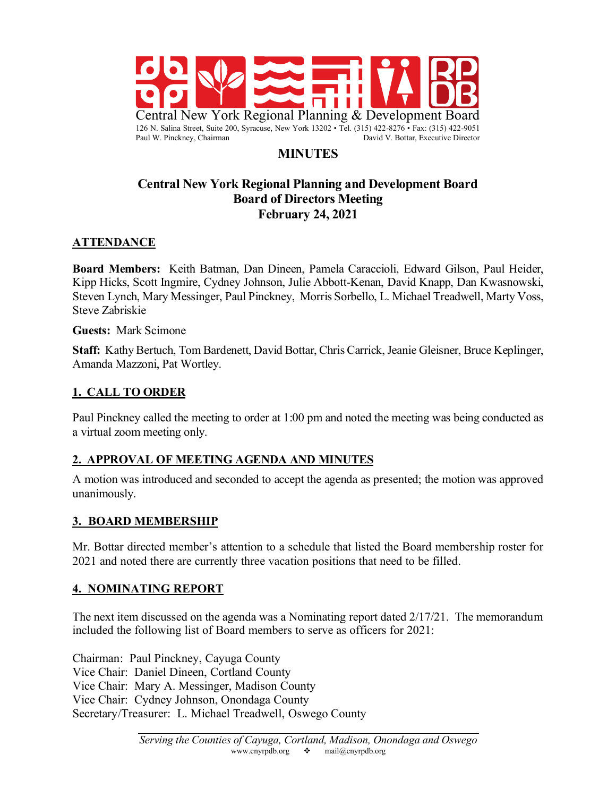

# **MINUTES**

### **Central New York Regional Planning and Development Board Board of Directors Meeting February 24, 2021**

### **ATTENDANCE**

**Board Members:** Keith Batman, Dan Dineen, Pamela Caraccioli, Edward Gilson, Paul Heider, Kipp Hicks, Scott Ingmire, Cydney Johnson, Julie Abbott-Kenan, David Knapp, Dan Kwasnowski, Steven Lynch, Mary Messinger, Paul Pinckney, Morris Sorbello, L. Michael Treadwell, Marty Voss, Steve Zabriskie

#### **Guests:** Mark Scimone

**Staff:** Kathy Bertuch, Tom Bardenett, David Bottar, Chris Carrick, Jeanie Gleisner, Bruce Keplinger, Amanda Mazzoni, Pat Wortley.

#### **1. CALL TO ORDER**

Paul Pinckney called the meeting to order at 1:00 pm and noted the meeting was being conducted as a virtual zoom meeting only.

#### **2. APPROVAL OF MEETING AGENDA AND MINUTES**

A motion was introduced and seconded to accept the agenda as presented; the motion was approved unanimously.

#### **3. BOARD MEMBERSHIP**

Mr. Bottar directed member's attention to a schedule that listed the Board membership roster for 2021 and noted there are currently three vacation positions that need to be filled.

#### **4. NOMINATING REPORT**

The next item discussed on the agenda was a Nominating report dated 2/17/21. The memorandum included the following list of Board members to serve as officers for 2021:

Chairman: Paul Pinckney, Cayuga County Vice Chair: Daniel Dineen, Cortland County Vice Chair: Mary A. Messinger, Madison County Vice Chair: Cydney Johnson, Onondaga County Secretary/Treasurer: L. Michael Treadwell, Oswego County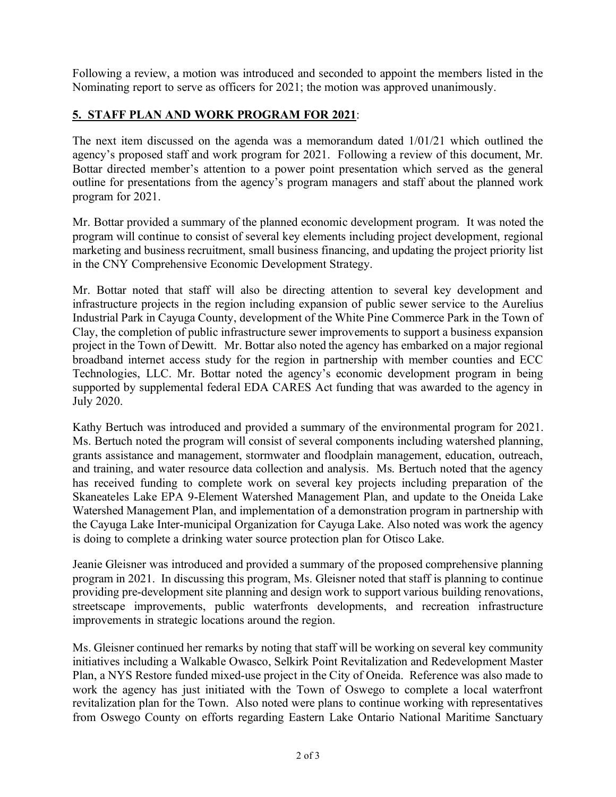Following a review, a motion was introduced and seconded to appoint the members listed in the Nominating report to serve as officers for 2021; the motion was approved unanimously.

### **5. STAFF PLAN AND WORK PROGRAM FOR 2021**:

The next item discussed on the agenda was a memorandum dated 1/01/21 which outlined the agency's proposed staff and work program for 2021. Following a review of this document, Mr. Bottar directed member's attention to a power point presentation which served as the general outline for presentations from the agency's program managers and staff about the planned work program for 2021.

Mr. Bottar provided a summary of the planned economic development program. It was noted the program will continue to consist of several key elements including project development, regional marketing and business recruitment, small business financing, and updating the project priority list in the CNY Comprehensive Economic Development Strategy.

Mr. Bottar noted that staff will also be directing attention to several key development and infrastructure projects in the region including expansion of public sewer service to the Aurelius Industrial Park in Cayuga County, development of the White Pine Commerce Park in the Town of Clay, the completion of public infrastructure sewer improvements to support a business expansion project in the Town of Dewitt. Mr. Bottar also noted the agency has embarked on a major regional broadband internet access study for the region in partnership with member counties and ECC Technologies, LLC. Mr. Bottar noted the agency's economic development program in being supported by supplemental federal EDA CARES Act funding that was awarded to the agency in July 2020.

Kathy Bertuch was introduced and provided a summary of the environmental program for 2021. Ms. Bertuch noted the program will consist of several components including watershed planning, grants assistance and management, stormwater and floodplain management, education, outreach, and training, and water resource data collection and analysis. Ms. Bertuch noted that the agency has received funding to complete work on several key projects including preparation of the Skaneateles Lake EPA 9-Element Watershed Management Plan, and update to the Oneida Lake Watershed Management Plan, and implementation of a demonstration program in partnership with the Cayuga Lake Inter-municipal Organization for Cayuga Lake. Also noted was work the agency is doing to complete a drinking water source protection plan for Otisco Lake.

Jeanie Gleisner was introduced and provided a summary of the proposed comprehensive planning program in 2021. In discussing this program, Ms. Gleisner noted that staff is planning to continue providing pre-development site planning and design work to support various building renovations, streetscape improvements, public waterfronts developments, and recreation infrastructure improvements in strategic locations around the region.

Ms. Gleisner continued her remarks by noting that staff will be working on several key community initiatives including a Walkable Owasco, Selkirk Point Revitalization and Redevelopment Master Plan, a NYS Restore funded mixed-use project in the City of Oneida. Reference was also made to work the agency has just initiated with the Town of Oswego to complete a local waterfront revitalization plan for the Town. Also noted were plans to continue working with representatives from Oswego County on efforts regarding Eastern Lake Ontario National Maritime Sanctuary